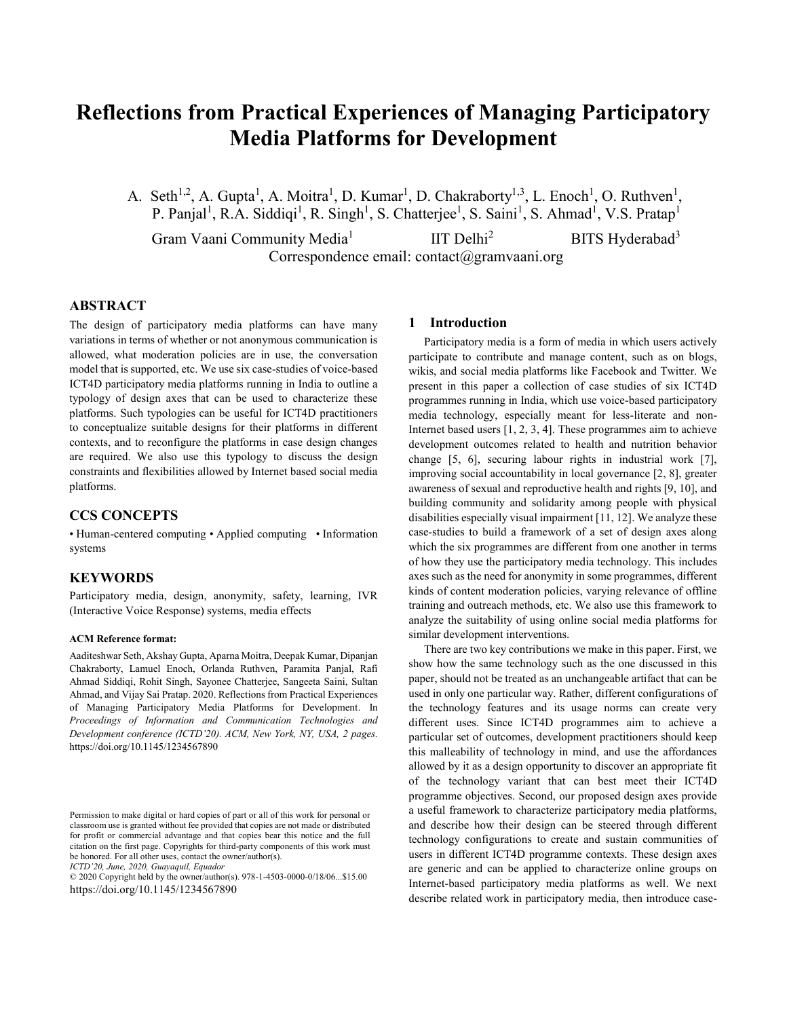# **Reflections from Practical Experiences of Managing Participatory Media Platforms for Development**

A. Seth<sup>1,2</sup>, A. Gupta<sup>1</sup>, A. Moitra<sup>1</sup>, D. Kumar<sup>1</sup>, D. Chakraborty<sup>1,3</sup>, L. Enoch<sup>1</sup>, O. Ruthven<sup>1</sup>, P. Panjal<sup>1</sup>, R.A. Siddiqi<sup>1</sup>, R. Singh<sup>1</sup>, S. Chatterjee<sup>1</sup>, S. Saini<sup>1</sup>, S. Ahmad<sup>1</sup>, V.S. Pratap<sup>1</sup>

Gram Vaani Community Media<sup>1</sup> IIT Delhi<sup>2</sup> BITS Hyderabad<sup>3</sup> Correspondence email: contact@gramvaani.org

## **ABSTRACT**

The design of participatory media platforms can have many variations in terms of whether or not anonymous communication is allowed, what moderation policies are in use, the conversation model that is supported, etc. We use six case-studies of voice-based ICT4D participatory media platforms running in India to outline a typology of design axes that can be used to characterize these platforms. Such typologies can be useful for ICT4D practitioners to conceptualize suitable designs for their platforms in different contexts, and to reconfigure the platforms in case design changes are required. We also use this typology to discuss the design constraints and flexibilities allowed by Internet based social media platforms.

## **CCS CONCEPTS**

• Human-centered computing • Applied computing • Information systems

## **KEYWORDS**

Participatory media, design, anonymity, safety, learning, IVR (Interactive Voice Response) systems, media effects

#### **ACM Reference format:**

Aaditeshwar Seth, Akshay Gupta, Aparna Moitra, Deepak Kumar, Dipanjan Chakraborty, Lamuel Enoch, Orlanda Ruthven, Paramita Panjal, Rafi Ahmad Siddiqi, Rohit Singh, Sayonee Chatterjee, Sangeeta Saini, Sultan Ahmad, and Vijay Sai Pratap. 2020. Reflections from Practical Experiences of Managing Participatory Media Platforms for Development. In *Proceedings of Information and Communication Technologies and Development conference (ICTD'20). ACM, New York, NY, USA, 2 pages.* https://doi.org/10.1145/1234567890

© 2020 Copyright held by the owner/author(s). 978-1-4503-0000-0/18/06...\$15.00 https://doi.org/10.1145/1234567890

#### **1 Introduction**

Participatory media is a form of media in which users actively participate to contribute and manage content, such as on blogs, wikis, and social media platforms like Facebook and Twitter. We present in this paper a collection of case studies of six ICT4D programmes running in India, which use voice-based participatory media technology, especially meant for less-literate and non-Internet based users [1, 2, 3, 4]. These programmes aim to achieve development outcomes related to health and nutrition behavior change [5, 6], securing labour rights in industrial work [7], improving social accountability in local governance [2, 8], greater awareness of sexual and reproductive health and rights [9, 10], and building community and solidarity among people with physical disabilities especially visual impairment [11, 12]. We analyze these case-studies to build a framework of a set of design axes along which the six programmes are different from one another in terms of how they use the participatory media technology. This includes axes such as the need for anonymity in some programmes, different kinds of content moderation policies, varying relevance of offline training and outreach methods, etc. We also use this framework to analyze the suitability of using online social media platforms for similar development interventions.

There are two key contributions we make in this paper. First, we show how the same technology such as the one discussed in this paper, should not be treated as an unchangeable artifact that can be used in only one particular way. Rather, different configurations of the technology features and its usage norms can create very different uses. Since ICT4D programmes aim to achieve a particular set of outcomes, development practitioners should keep this malleability of technology in mind, and use the affordances allowed by it as a design opportunity to discover an appropriate fit of the technology variant that can best meet their ICT4D programme objectives. Second, our proposed design axes provide a useful framework to characterize participatory media platforms, and describe how their design can be steered through different technology configurations to create and sustain communities of users in different ICT4D programme contexts. These design axes are generic and can be applied to characterize online groups on Internet-based participatory media platforms as well. We next describe related work in participatory media, then introduce case-

Permission to make digital or hard copies of part or all of this work for personal or classroom use is granted without fee provided that copies are not made or distributed for profit or commercial advantage and that copies bear this notice and the full citation on the first page. Copyrights for third-party components of this work must be honored. For all other uses, contact the owner/author(s). *ICTD'20, June, 2020, Guayaquil, Equador*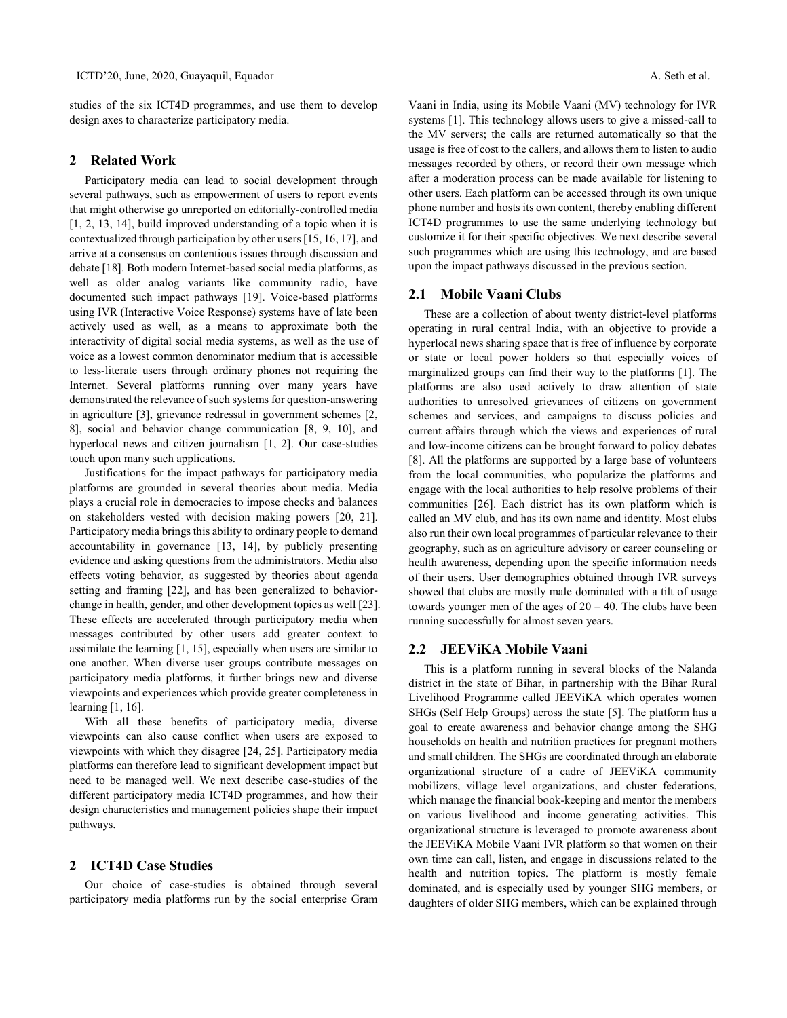studies of the six ICT4D programmes, and use them to develop design axes to characterize participatory media.

### **2 Related Work**

Participatory media can lead to social development through several pathways, such as empowerment of users to report events that might otherwise go unreported on editorially-controlled media [1, 2, 13, 14], build improved understanding of a topic when it is contextualized through participation by other users [15, 16, 17], and arrive at a consensus on contentious issues through discussion and debate [18]. Both modern Internet-based social media platforms, as well as older analog variants like community radio, have documented such impact pathways [19]. Voice-based platforms using IVR (Interactive Voice Response) systems have of late been actively used as well, as a means to approximate both the interactivity of digital social media systems, as well as the use of voice as a lowest common denominator medium that is accessible to less-literate users through ordinary phones not requiring the Internet. Several platforms running over many years have demonstrated the relevance of such systems for question-answering in agriculture [3], grievance redressal in government schemes [2, 8], social and behavior change communication [8, 9, 10], and hyperlocal news and citizen journalism [1, 2]. Our case-studies touch upon many such applications.

Justifications for the impact pathways for participatory media platforms are grounded in several theories about media. Media plays a crucial role in democracies to impose checks and balances on stakeholders vested with decision making powers [20, 21]. Participatory media brings this ability to ordinary people to demand accountability in governance [13, 14], by publicly presenting evidence and asking questions from the administrators. Media also effects voting behavior, as suggested by theories about agenda setting and framing [22], and has been generalized to behaviorchange in health, gender, and other development topics as well [23]. These effects are accelerated through participatory media when messages contributed by other users add greater context to assimilate the learning [1, 15], especially when users are similar to one another. When diverse user groups contribute messages on participatory media platforms, it further brings new and diverse viewpoints and experiences which provide greater completeness in learning [1, 16].

With all these benefits of participatory media, diverse viewpoints can also cause conflict when users are exposed to viewpoints with which they disagree [24, 25]. Participatory media platforms can therefore lead to significant development impact but need to be managed well. We next describe case-studies of the different participatory media ICT4D programmes, and how their design characteristics and management policies shape their impact pathways.

## **2 ICT4D Case Studies**

Our choice of case-studies is obtained through several participatory media platforms run by the social enterprise Gram

Vaani in India, using its Mobile Vaani (MV) technology for IVR systems [1]. This technology allows users to give a missed-call to the MV servers; the calls are returned automatically so that the usage is free of cost to the callers, and allows them to listen to audio messages recorded by others, or record their own message which after a moderation process can be made available for listening to other users. Each platform can be accessed through its own unique phone number and hosts its own content, thereby enabling different ICT4D programmes to use the same underlying technology but customize it for their specific objectives. We next describe several such programmes which are using this technology, and are based upon the impact pathways discussed in the previous section.

## **2.1 Mobile Vaani Clubs**

These are a collection of about twenty district-level platforms operating in rural central India, with an objective to provide a hyperlocal news sharing space that is free of influence by corporate or state or local power holders so that especially voices of marginalized groups can find their way to the platforms [1]. The platforms are also used actively to draw attention of state authorities to unresolved grievances of citizens on government schemes and services, and campaigns to discuss policies and current affairs through which the views and experiences of rural and low-income citizens can be brought forward to policy debates [8]. All the platforms are supported by a large base of volunteers from the local communities, who popularize the platforms and engage with the local authorities to help resolve problems of their communities [26]. Each district has its own platform which is called an MV club, and has its own name and identity. Most clubs also run their own local programmes of particular relevance to their geography, such as on agriculture advisory or career counseling or health awareness, depending upon the specific information needs of their users. User demographics obtained through IVR surveys showed that clubs are mostly male dominated with a tilt of usage towards younger men of the ages of  $20 - 40$ . The clubs have been running successfully for almost seven years.

## **2.2 JEEViKA Mobile Vaani**

This is a platform running in several blocks of the Nalanda district in the state of Bihar, in partnership with the Bihar Rural Livelihood Programme called JEEViKA which operates women SHGs (Self Help Groups) across the state [5]. The platform has a goal to create awareness and behavior change among the SHG households on health and nutrition practices for pregnant mothers and small children. The SHGs are coordinated through an elaborate organizational structure of a cadre of JEEViKA community mobilizers, village level organizations, and cluster federations, which manage the financial book-keeping and mentor the members on various livelihood and income generating activities. This organizational structure is leveraged to promote awareness about the JEEViKA Mobile Vaani IVR platform so that women on their own time can call, listen, and engage in discussions related to the health and nutrition topics. The platform is mostly female dominated, and is especially used by younger SHG members, or daughters of older SHG members, which can be explained through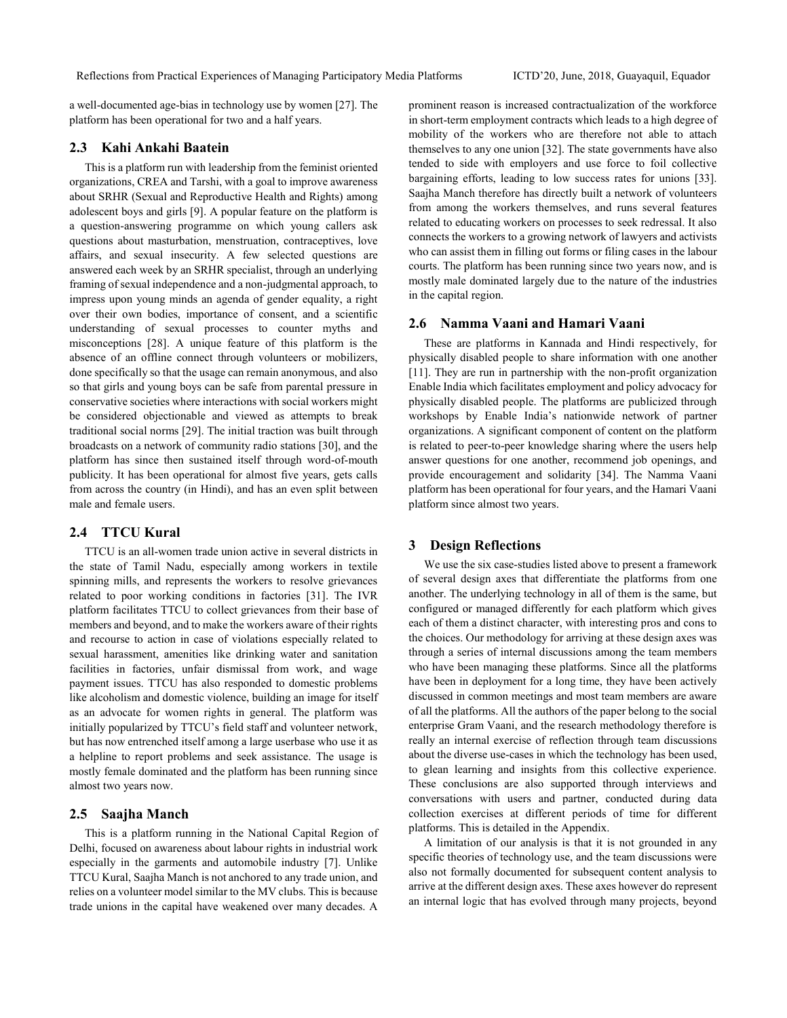a well-documented age-bias in technology use by women [27]. The platform has been operational for two and a half years.

## **2.3 Kahi Ankahi Baatein**

This is a platform run with leadership from the feminist oriented organizations, CREA and Tarshi, with a goal to improve awareness about SRHR (Sexual and Reproductive Health and Rights) among adolescent boys and girls [9]. A popular feature on the platform is a question-answering programme on which young callers ask questions about masturbation, menstruation, contraceptives, love affairs, and sexual insecurity. A few selected questions are answered each week by an SRHR specialist, through an underlying framing of sexual independence and a non-judgmental approach, to impress upon young minds an agenda of gender equality, a right over their own bodies, importance of consent, and a scientific understanding of sexual processes to counter myths and misconceptions [28]. A unique feature of this platform is the absence of an offline connect through volunteers or mobilizers, done specifically so that the usage can remain anonymous, and also so that girls and young boys can be safe from parental pressure in conservative societies where interactions with social workers might be considered objectionable and viewed as attempts to break traditional social norms [29]. The initial traction was built through broadcasts on a network of community radio stations [30], and the platform has since then sustained itself through word-of-mouth publicity. It has been operational for almost five years, gets calls from across the country (in Hindi), and has an even split between male and female users.

## **2.4 TTCU Kural**

TTCU is an all-women trade union active in several districts in the state of Tamil Nadu, especially among workers in textile spinning mills, and represents the workers to resolve grievances related to poor working conditions in factories [31]. The IVR platform facilitates TTCU to collect grievances from their base of members and beyond, and to make the workers aware of their rights and recourse to action in case of violations especially related to sexual harassment, amenities like drinking water and sanitation facilities in factories, unfair dismissal from work, and wage payment issues. TTCU has also responded to domestic problems like alcoholism and domestic violence, building an image for itself as an advocate for women rights in general. The platform was initially popularized by TTCU's field staff and volunteer network, but has now entrenched itself among a large userbase who use it as a helpline to report problems and seek assistance. The usage is mostly female dominated and the platform has been running since almost two years now.

#### **2.5 Saajha Manch**

This is a platform running in the National Capital Region of Delhi, focused on awareness about labour rights in industrial work especially in the garments and automobile industry [7]. Unlike TTCU Kural, Saajha Manch is not anchored to any trade union, and relies on a volunteer model similar to the MV clubs. This is because trade unions in the capital have weakened over many decades. A

prominent reason is increased contractualization of the workforce in short-term employment contracts which leads to a high degree of mobility of the workers who are therefore not able to attach themselves to any one union [32]. The state governments have also tended to side with employers and use force to foil collective bargaining efforts, leading to low success rates for unions [33]. Saajha Manch therefore has directly built a network of volunteers from among the workers themselves, and runs several features related to educating workers on processes to seek redressal. It also connects the workers to a growing network of lawyers and activists who can assist them in filling out forms or filing cases in the labour courts. The platform has been running since two years now, and is mostly male dominated largely due to the nature of the industries in the capital region.

## **2.6 Namma Vaani and Hamari Vaani**

These are platforms in Kannada and Hindi respectively, for physically disabled people to share information with one another [11]. They are run in partnership with the non-profit organization Enable India which facilitates employment and policy advocacy for physically disabled people. The platforms are publicized through workshops by Enable India's nationwide network of partner organizations. A significant component of content on the platform is related to peer-to-peer knowledge sharing where the users help answer questions for one another, recommend job openings, and provide encouragement and solidarity [34]. The Namma Vaani platform has been operational for four years, and the Hamari Vaani platform since almost two years.

#### **3 Design Reflections**

We use the six case-studies listed above to present a framework of several design axes that differentiate the platforms from one another. The underlying technology in all of them is the same, but configured or managed differently for each platform which gives each of them a distinct character, with interesting pros and cons to the choices. Our methodology for arriving at these design axes was through a series of internal discussions among the team members who have been managing these platforms. Since all the platforms have been in deployment for a long time, they have been actively discussed in common meetings and most team members are aware of all the platforms. All the authors of the paper belong to the social enterprise Gram Vaani, and the research methodology therefore is really an internal exercise of reflection through team discussions about the diverse use-cases in which the technology has been used, to glean learning and insights from this collective experience. These conclusions are also supported through interviews and conversations with users and partner, conducted during data collection exercises at different periods of time for different platforms. This is detailed in the Appendix.

A limitation of our analysis is that it is not grounded in any specific theories of technology use, and the team discussions were also not formally documented for subsequent content analysis to arrive at the different design axes. These axes however do represent an internal logic that has evolved through many projects, beyond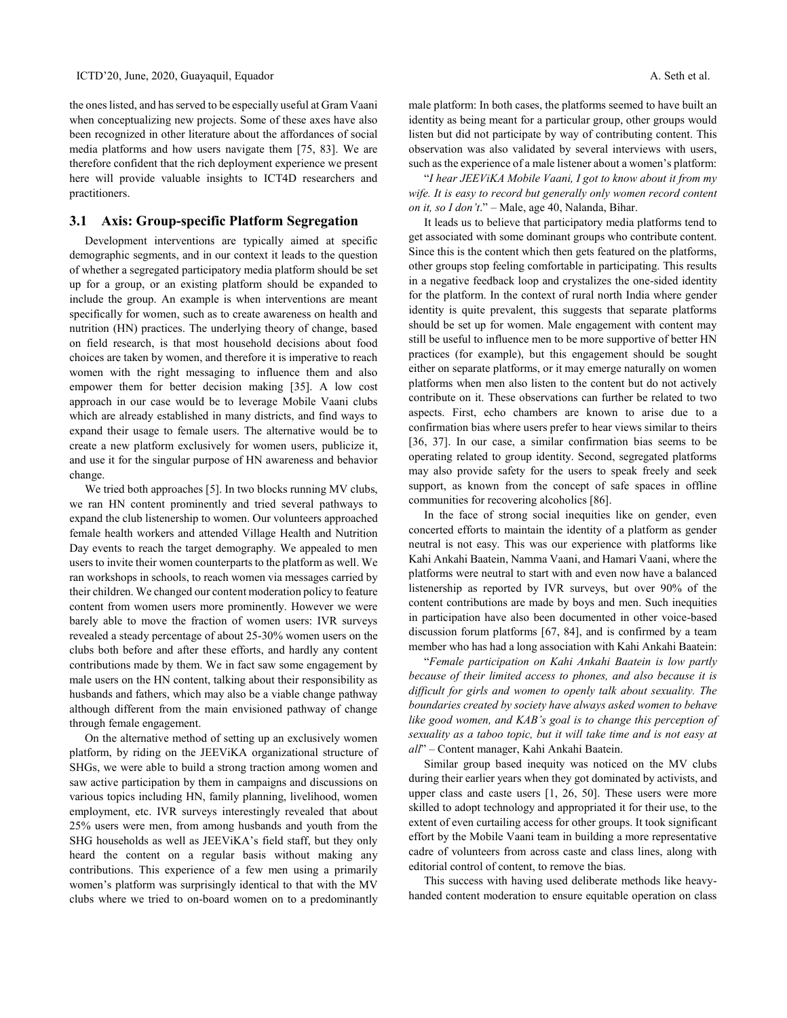the ones listed, and has served to be especially useful at Gram Vaani when conceptualizing new projects. Some of these axes have also been recognized in other literature about the affordances of social media platforms and how users navigate them [75, 83]. We are therefore confident that the rich deployment experience we present here will provide valuable insights to ICT4D researchers and practitioners.

## **3.1 Axis: Group-specific Platform Segregation**

Development interventions are typically aimed at specific demographic segments, and in our context it leads to the question of whether a segregated participatory media platform should be set up for a group, or an existing platform should be expanded to include the group. An example is when interventions are meant specifically for women, such as to create awareness on health and nutrition (HN) practices. The underlying theory of change, based on field research, is that most household decisions about food choices are taken by women, and therefore it is imperative to reach women with the right messaging to influence them and also empower them for better decision making [35]. A low cost approach in our case would be to leverage Mobile Vaani clubs which are already established in many districts, and find ways to expand their usage to female users. The alternative would be to create a new platform exclusively for women users, publicize it, and use it for the singular purpose of HN awareness and behavior change.

We tried both approaches [5]. In two blocks running MV clubs, we ran HN content prominently and tried several pathways to expand the club listenership to women. Our volunteers approached female health workers and attended Village Health and Nutrition Day events to reach the target demography. We appealed to men users to invite their women counterparts to the platform as well. We ran workshops in schools, to reach women via messages carried by their children. We changed our content moderation policy to feature content from women users more prominently. However we were barely able to move the fraction of women users: IVR surveys revealed a steady percentage of about 25-30% women users on the clubs both before and after these efforts, and hardly any content contributions made by them. We in fact saw some engagement by male users on the HN content, talking about their responsibility as husbands and fathers, which may also be a viable change pathway although different from the main envisioned pathway of change through female engagement.

On the alternative method of setting up an exclusively women platform, by riding on the JEEViKA organizational structure of SHGs, we were able to build a strong traction among women and saw active participation by them in campaigns and discussions on various topics including HN, family planning, livelihood, women employment, etc. IVR surveys interestingly revealed that about 25% users were men, from among husbands and youth from the SHG households as well as JEEViKA's field staff, but they only heard the content on a regular basis without making any contributions. This experience of a few men using a primarily women's platform was surprisingly identical to that with the MV clubs where we tried to on-board women on to a predominantly

male platform: In both cases, the platforms seemed to have built an identity as being meant for a particular group, other groups would listen but did not participate by way of contributing content. This observation was also validated by several interviews with users, such as the experience of a male listener about a women's platform:

"*I hear JEEViKA Mobile Vaani, I got to know about it from my wife. It is easy to record but generally only women record content on it, so I don't*." – Male, age 40, Nalanda, Bihar.

It leads us to believe that participatory media platforms tend to get associated with some dominant groups who contribute content. Since this is the content which then gets featured on the platforms, other groups stop feeling comfortable in participating. This results in a negative feedback loop and crystalizes the one-sided identity for the platform. In the context of rural north India where gender identity is quite prevalent, this suggests that separate platforms should be set up for women. Male engagement with content may still be useful to influence men to be more supportive of better HN practices (for example), but this engagement should be sought either on separate platforms, or it may emerge naturally on women platforms when men also listen to the content but do not actively contribute on it. These observations can further be related to two aspects. First, echo chambers are known to arise due to a confirmation bias where users prefer to hear views similar to theirs [36, 37]. In our case, a similar confirmation bias seems to be operating related to group identity. Second, segregated platforms may also provide safety for the users to speak freely and seek support, as known from the concept of safe spaces in offline communities for recovering alcoholics [86].

In the face of strong social inequities like on gender, even concerted efforts to maintain the identity of a platform as gender neutral is not easy. This was our experience with platforms like Kahi Ankahi Baatein, Namma Vaani, and Hamari Vaani, where the platforms were neutral to start with and even now have a balanced listenership as reported by IVR surveys, but over 90% of the content contributions are made by boys and men. Such inequities in participation have also been documented in other voice-based discussion forum platforms [67, 84], and is confirmed by a team member who has had a long association with Kahi Ankahi Baatein:

"*Female participation on Kahi Ankahi Baatein is low partly because of their limited access to phones, and also because it is difficult for girls and women to openly talk about sexuality. The boundaries created by society have always asked women to behave like good women, and KAB's goal is to change this perception of sexuality as a taboo topic, but it will take time and is not easy at all*" – Content manager, Kahi Ankahi Baatein.

Similar group based inequity was noticed on the MV clubs during their earlier years when they got dominated by activists, and upper class and caste users [1, 26, 50]. These users were more skilled to adopt technology and appropriated it for their use, to the extent of even curtailing access for other groups. It took significant effort by the Mobile Vaani team in building a more representative cadre of volunteers from across caste and class lines, along with editorial control of content, to remove the bias.

This success with having used deliberate methods like heavyhanded content moderation to ensure equitable operation on class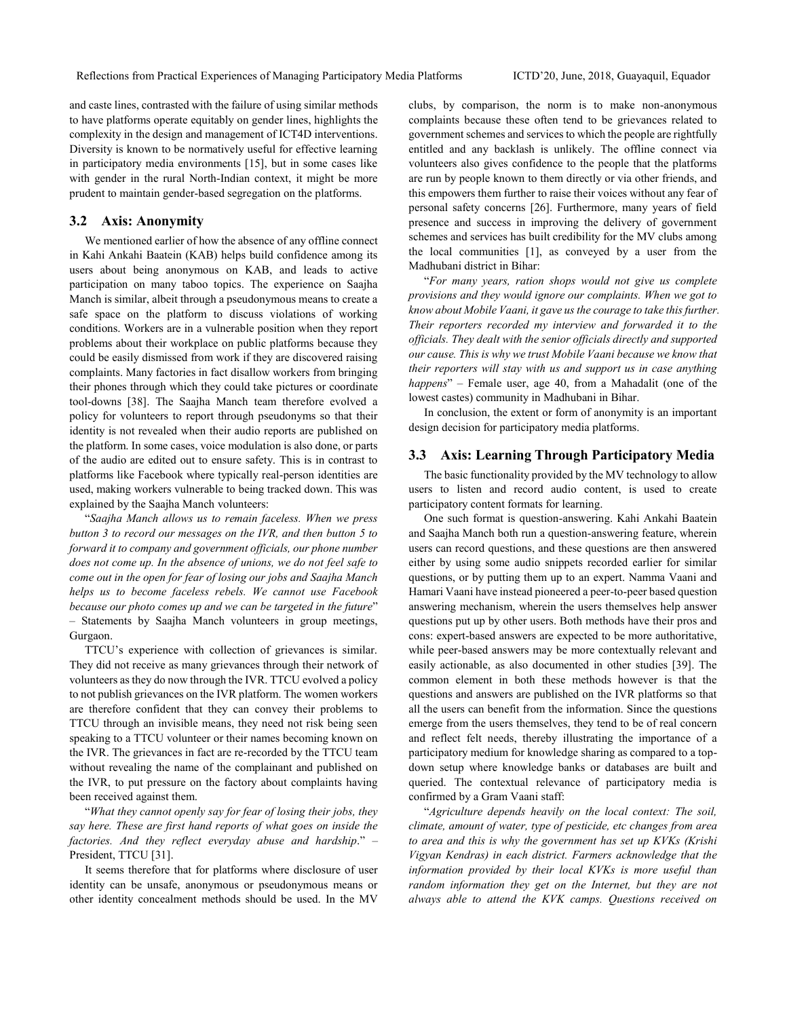and caste lines, contrasted with the failure of using similar methods to have platforms operate equitably on gender lines, highlights the complexity in the design and management of ICT4D interventions. Diversity is known to be normatively useful for effective learning in participatory media environments [15], but in some cases like with gender in the rural North-Indian context, it might be more prudent to maintain gender-based segregation on the platforms.

#### **3.2 Axis: Anonymity**

We mentioned earlier of how the absence of any offline connect in Kahi Ankahi Baatein (KAB) helps build confidence among its users about being anonymous on KAB, and leads to active participation on many taboo topics. The experience on Saajha Manch is similar, albeit through a pseudonymous means to create a safe space on the platform to discuss violations of working conditions. Workers are in a vulnerable position when they report problems about their workplace on public platforms because they could be easily dismissed from work if they are discovered raising complaints. Many factories in fact disallow workers from bringing their phones through which they could take pictures or coordinate tool-downs [38]. The Saajha Manch team therefore evolved a policy for volunteers to report through pseudonyms so that their identity is not revealed when their audio reports are published on the platform. In some cases, voice modulation is also done, or parts of the audio are edited out to ensure safety. This is in contrast to platforms like Facebook where typically real-person identities are used, making workers vulnerable to being tracked down. This was explained by the Saajha Manch volunteers:

"*Saajha Manch allows us to remain faceless. When we press button 3 to record our messages on the IVR, and then button 5 to forward it to company and government officials, our phone number does not come up. In the absence of unions, we do not feel safe to come out in the open for fear of losing our jobs and Saajha Manch helps us to become faceless rebels. We cannot use Facebook because our photo comes up and we can be targeted in the future*" – Statements by Saajha Manch volunteers in group meetings, Gurgaon.

TTCU's experience with collection of grievances is similar. They did not receive as many grievances through their network of volunteers as they do now through the IVR. TTCU evolved a policy to not publish grievances on the IVR platform. The women workers are therefore confident that they can convey their problems to TTCU through an invisible means, they need not risk being seen speaking to a TTCU volunteer or their names becoming known on the IVR. The grievances in fact are re-recorded by the TTCU team without revealing the name of the complainant and published on the IVR, to put pressure on the factory about complaints having been received against them.

"*What they cannot openly say for fear of losing their jobs, they say here. These are first hand reports of what goes on inside the factories. And they reflect everyday abuse and hardship*." – President, TTCU [31].

It seems therefore that for platforms where disclosure of user identity can be unsafe, anonymous or pseudonymous means or other identity concealment methods should be used. In the MV

clubs, by comparison, the norm is to make non-anonymous complaints because these often tend to be grievances related to government schemes and services to which the people are rightfully entitled and any backlash is unlikely. The offline connect via volunteers also gives confidence to the people that the platforms are run by people known to them directly or via other friends, and this empowers them further to raise their voices without any fear of personal safety concerns [26]. Furthermore, many years of field presence and success in improving the delivery of government schemes and services has built credibility for the MV clubs among the local communities [1], as conveyed by a user from the Madhubani district in Bihar:

"*For many years, ration shops would not give us complete provisions and they would ignore our complaints. When we got to know about Mobile Vaani, it gave us the courage to take this further. Their reporters recorded my interview and forwarded it to the officials. They dealt with the senior officials directly and supported our cause. This is why we trust Mobile Vaani because we know that their reporters will stay with us and support us in case anything happens*" – Female user, age 40, from a Mahadalit (one of the lowest castes) community in Madhubani in Bihar.

In conclusion, the extent or form of anonymity is an important design decision for participatory media platforms.

#### **3.3 Axis: Learning Through Participatory Media**

The basic functionality provided by the MV technology to allow users to listen and record audio content, is used to create participatory content formats for learning.

One such format is question-answering. Kahi Ankahi Baatein and Saajha Manch both run a question-answering feature, wherein users can record questions, and these questions are then answered either by using some audio snippets recorded earlier for similar questions, or by putting them up to an expert. Namma Vaani and Hamari Vaani have instead pioneered a peer-to-peer based question answering mechanism, wherein the users themselves help answer questions put up by other users. Both methods have their pros and cons: expert-based answers are expected to be more authoritative, while peer-based answers may be more contextually relevant and easily actionable, as also documented in other studies [39]. The common element in both these methods however is that the questions and answers are published on the IVR platforms so that all the users can benefit from the information. Since the questions emerge from the users themselves, they tend to be of real concern and reflect felt needs, thereby illustrating the importance of a participatory medium for knowledge sharing as compared to a topdown setup where knowledge banks or databases are built and queried. The contextual relevance of participatory media is confirmed by a Gram Vaani staff:

"*Agriculture depends heavily on the local context: The soil, climate, amount of water, type of pesticide, etc changes from area to area and this is why the government has set up KVKs (Krishi Vigyan Kendras) in each district. Farmers acknowledge that the information provided by their local KVKs is more useful than random information they get on the Internet, but they are not always able to attend the KVK camps. Questions received on*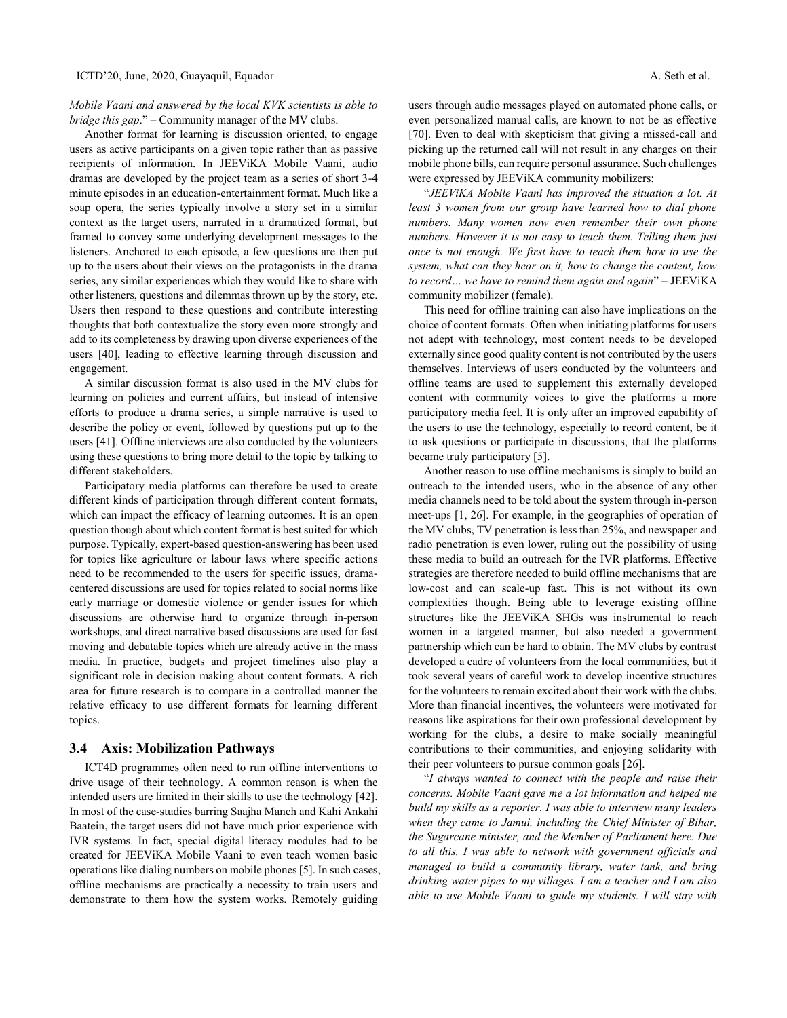## *Mobile Vaani and answered by the local KVK scientists is able to bridge this gap*." – Community manager of the MV clubs.

Another format for learning is discussion oriented, to engage users as active participants on a given topic rather than as passive recipients of information. In JEEViKA Mobile Vaani, audio dramas are developed by the project team as a series of short 3-4 minute episodes in an education-entertainment format. Much like a soap opera, the series typically involve a story set in a similar context as the target users, narrated in a dramatized format, but framed to convey some underlying development messages to the listeners. Anchored to each episode, a few questions are then put up to the users about their views on the protagonists in the drama series, any similar experiences which they would like to share with other listeners, questions and dilemmas thrown up by the story, etc. Users then respond to these questions and contribute interesting thoughts that both contextualize the story even more strongly and add to its completeness by drawing upon diverse experiences of the users [40], leading to effective learning through discussion and engagement.

A similar discussion format is also used in the MV clubs for learning on policies and current affairs, but instead of intensive efforts to produce a drama series, a simple narrative is used to describe the policy or event, followed by questions put up to the users [41]. Offline interviews are also conducted by the volunteers using these questions to bring more detail to the topic by talking to different stakeholders.

Participatory media platforms can therefore be used to create different kinds of participation through different content formats, which can impact the efficacy of learning outcomes. It is an open question though about which content format is best suited for which purpose. Typically, expert-based question-answering has been used for topics like agriculture or labour laws where specific actions need to be recommended to the users for specific issues, dramacentered discussions are used for topics related to social norms like early marriage or domestic violence or gender issues for which discussions are otherwise hard to organize through in-person workshops, and direct narrative based discussions are used for fast moving and debatable topics which are already active in the mass media. In practice, budgets and project timelines also play a significant role in decision making about content formats. A rich area for future research is to compare in a controlled manner the relative efficacy to use different formats for learning different topics.

### **3.4 Axis: Mobilization Pathways**

ICT4D programmes often need to run offline interventions to drive usage of their technology. A common reason is when the intended users are limited in their skills to use the technology [42]. In most of the case-studies barring Saajha Manch and Kahi Ankahi Baatein, the target users did not have much prior experience with IVR systems. In fact, special digital literacy modules had to be created for JEEViKA Mobile Vaani to even teach women basic operations like dialing numbers on mobile phones [5]. In such cases, offline mechanisms are practically a necessity to train users and demonstrate to them how the system works. Remotely guiding

users through audio messages played on automated phone calls, or even personalized manual calls, are known to not be as effective [70]. Even to deal with skepticism that giving a missed-call and picking up the returned call will not result in any charges on their mobile phone bills, can require personal assurance. Such challenges were expressed by JEEViKA community mobilizers:

"*JEEViKA Mobile Vaani has improved the situation a lot. At least 3 women from our group have learned how to dial phone numbers. Many women now even remember their own phone numbers. However it is not easy to teach them. Telling them just once is not enough. We first have to teach them how to use the system, what can they hear on it, how to change the content, how to record… we have to remind them again and again*" – JEEViKA community mobilizer (female).

This need for offline training can also have implications on the choice of content formats. Often when initiating platforms for users not adept with technology, most content needs to be developed externally since good quality content is not contributed by the users themselves. Interviews of users conducted by the volunteers and offline teams are used to supplement this externally developed content with community voices to give the platforms a more participatory media feel. It is only after an improved capability of the users to use the technology, especially to record content, be it to ask questions or participate in discussions, that the platforms became truly participatory [5].

Another reason to use offline mechanisms is simply to build an outreach to the intended users, who in the absence of any other media channels need to be told about the system through in-person meet-ups [1, 26]. For example, in the geographies of operation of the MV clubs, TV penetration is less than 25%, and newspaper and radio penetration is even lower, ruling out the possibility of using these media to build an outreach for the IVR platforms. Effective strategies are therefore needed to build offline mechanisms that are low-cost and can scale-up fast. This is not without its own complexities though. Being able to leverage existing offline structures like the JEEViKA SHGs was instrumental to reach women in a targeted manner, but also needed a government partnership which can be hard to obtain. The MV clubs by contrast developed a cadre of volunteers from the local communities, but it took several years of careful work to develop incentive structures for the volunteers to remain excited about their work with the clubs. More than financial incentives, the volunteers were motivated for reasons like aspirations for their own professional development by working for the clubs, a desire to make socially meaningful contributions to their communities, and enjoying solidarity with their peer volunteers to pursue common goals [26].

"*I always wanted to connect with the people and raise their concerns. Mobile Vaani gave me a lot information and helped me build my skills as a reporter. I was able to interview many leaders when they came to Jamui, including the Chief Minister of Bihar, the Sugarcane minister, and the Member of Parliament here. Due to all this, I was able to network with government officials and managed to build a community library, water tank, and bring drinking water pipes to my villages. I am a teacher and I am also able to use Mobile Vaani to guide my students. I will stay with*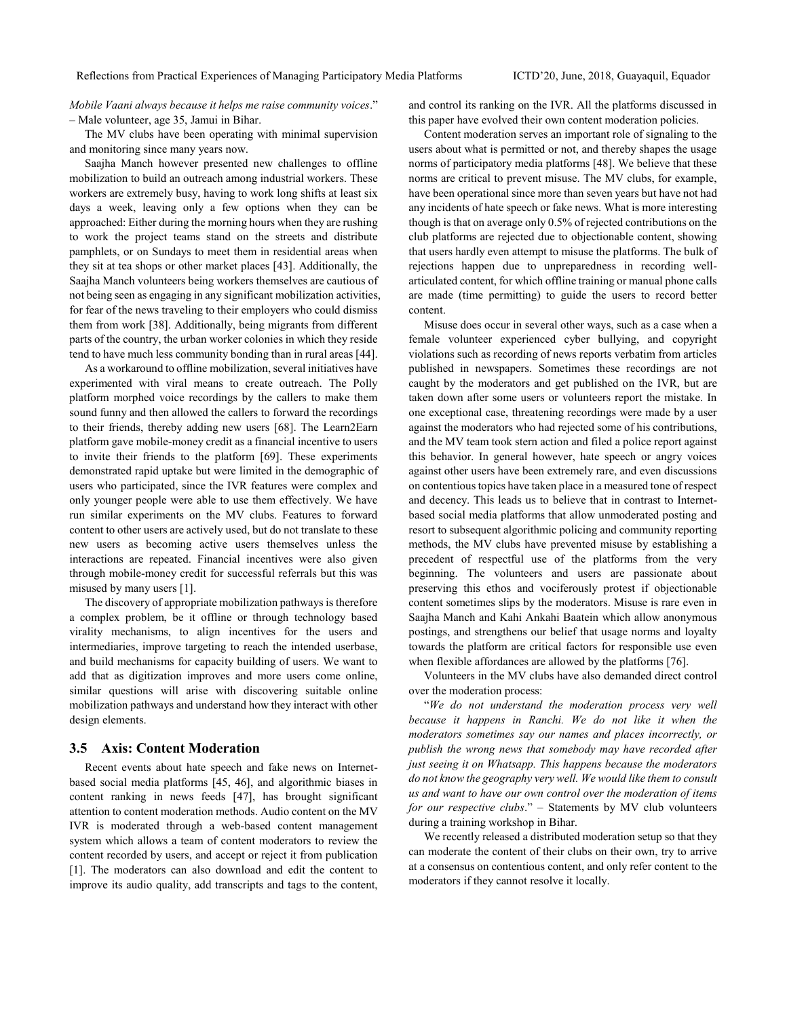*Mobile Vaani always because it helps me raise community voices*." – Male volunteer, age 35, Jamui in Bihar.

The MV clubs have been operating with minimal supervision and monitoring since many years now.

Saajha Manch however presented new challenges to offline mobilization to build an outreach among industrial workers. These workers are extremely busy, having to work long shifts at least six days a week, leaving only a few options when they can be approached: Either during the morning hours when they are rushing to work the project teams stand on the streets and distribute pamphlets, or on Sundays to meet them in residential areas when they sit at tea shops or other market places [43]. Additionally, the Saajha Manch volunteers being workers themselves are cautious of not being seen as engaging in any significant mobilization activities, for fear of the news traveling to their employers who could dismiss them from work [38]. Additionally, being migrants from different parts of the country, the urban worker colonies in which they reside tend to have much less community bonding than in rural areas [44].

As a workaround to offline mobilization, several initiatives have experimented with viral means to create outreach. The Polly platform morphed voice recordings by the callers to make them sound funny and then allowed the callers to forward the recordings to their friends, thereby adding new users [68]. The Learn2Earn platform gave mobile-money credit as a financial incentive to users to invite their friends to the platform [69]. These experiments demonstrated rapid uptake but were limited in the demographic of users who participated, since the IVR features were complex and only younger people were able to use them effectively. We have run similar experiments on the MV clubs. Features to forward content to other users are actively used, but do not translate to these new users as becoming active users themselves unless the interactions are repeated. Financial incentives were also given through mobile-money credit for successful referrals but this was misused by many users [1].

The discovery of appropriate mobilization pathways is therefore a complex problem, be it offline or through technology based virality mechanisms, to align incentives for the users and intermediaries, improve targeting to reach the intended userbase, and build mechanisms for capacity building of users. We want to add that as digitization improves and more users come online, similar questions will arise with discovering suitable online mobilization pathways and understand how they interact with other design elements.

### **3.5 Axis: Content Moderation**

Recent events about hate speech and fake news on Internetbased social media platforms [45, 46], and algorithmic biases in content ranking in news feeds [47], has brought significant attention to content moderation methods. Audio content on the MV IVR is moderated through a web-based content management system which allows a team of content moderators to review the content recorded by users, and accept or reject it from publication [1]. The moderators can also download and edit the content to improve its audio quality, add transcripts and tags to the content, and control its ranking on the IVR. All the platforms discussed in this paper have evolved their own content moderation policies.

Content moderation serves an important role of signaling to the users about what is permitted or not, and thereby shapes the usage norms of participatory media platforms [48]. We believe that these norms are critical to prevent misuse. The MV clubs, for example, have been operational since more than seven years but have not had any incidents of hate speech or fake news. What is more interesting though is that on average only 0.5% of rejected contributions on the club platforms are rejected due to objectionable content, showing that users hardly even attempt to misuse the platforms. The bulk of rejections happen due to unpreparedness in recording wellarticulated content, for which offline training or manual phone calls are made (time permitting) to guide the users to record better content.

Misuse does occur in several other ways, such as a case when a female volunteer experienced cyber bullying, and copyright violations such as recording of news reports verbatim from articles published in newspapers. Sometimes these recordings are not caught by the moderators and get published on the IVR, but are taken down after some users or volunteers report the mistake. In one exceptional case, threatening recordings were made by a user against the moderators who had rejected some of his contributions, and the MV team took stern action and filed a police report against this behavior. In general however, hate speech or angry voices against other users have been extremely rare, and even discussions on contentious topics have taken place in a measured tone of respect and decency. This leads us to believe that in contrast to Internetbased social media platforms that allow unmoderated posting and resort to subsequent algorithmic policing and community reporting methods, the MV clubs have prevented misuse by establishing a precedent of respectful use of the platforms from the very beginning. The volunteers and users are passionate about preserving this ethos and vociferously protest if objectionable content sometimes slips by the moderators. Misuse is rare even in Saajha Manch and Kahi Ankahi Baatein which allow anonymous postings, and strengthens our belief that usage norms and loyalty towards the platform are critical factors for responsible use even when flexible affordances are allowed by the platforms [76].

Volunteers in the MV clubs have also demanded direct control over the moderation process:

"*We do not understand the moderation process very well because it happens in Ranchi. We do not like it when the moderators sometimes say our names and places incorrectly, or publish the wrong news that somebody may have recorded after just seeing it on Whatsapp. This happens because the moderators do not know the geography very well. We would like them to consult us and want to have our own control over the moderation of items for our respective clubs*." – Statements by MV club volunteers during a training workshop in Bihar.

We recently released a distributed moderation setup so that they can moderate the content of their clubs on their own, try to arrive at a consensus on contentious content, and only refer content to the moderators if they cannot resolve it locally.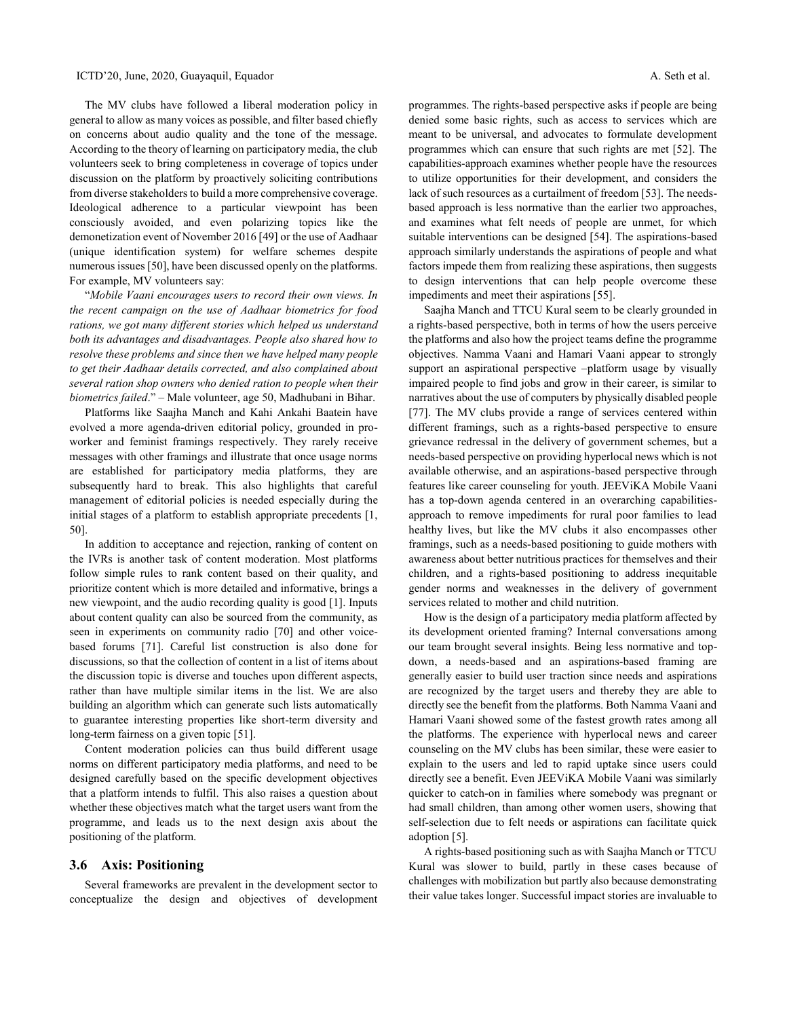The MV clubs have followed a liberal moderation policy in general to allow as many voices as possible, and filter based chiefly on concerns about audio quality and the tone of the message. According to the theory of learning on participatory media, the club volunteers seek to bring completeness in coverage of topics under discussion on the platform by proactively soliciting contributions from diverse stakeholders to build a more comprehensive coverage. Ideological adherence to a particular viewpoint has been consciously avoided, and even polarizing topics like the demonetization event of November 2016 [49] or the use of Aadhaar (unique identification system) for welfare schemes despite numerous issues [50], have been discussed openly on the platforms. For example, MV volunteers say:

"*Mobile Vaani encourages users to record their own views. In the recent campaign on the use of Aadhaar biometrics for food rations, we got many different stories which helped us understand both its advantages and disadvantages. People also shared how to resolve these problems and since then we have helped many people to get their Aadhaar details corrected, and also complained about several ration shop owners who denied ration to people when their biometrics failed*." – Male volunteer, age 50, Madhubani in Bihar.

Platforms like Saajha Manch and Kahi Ankahi Baatein have evolved a more agenda-driven editorial policy, grounded in proworker and feminist framings respectively. They rarely receive messages with other framings and illustrate that once usage norms are established for participatory media platforms, they are subsequently hard to break. This also highlights that careful management of editorial policies is needed especially during the initial stages of a platform to establish appropriate precedents [1, 50].

In addition to acceptance and rejection, ranking of content on the IVRs is another task of content moderation. Most platforms follow simple rules to rank content based on their quality, and prioritize content which is more detailed and informative, brings a new viewpoint, and the audio recording quality is good [1]. Inputs about content quality can also be sourced from the community, as seen in experiments on community radio [70] and other voicebased forums [71]. Careful list construction is also done for discussions, so that the collection of content in a list of items about the discussion topic is diverse and touches upon different aspects, rather than have multiple similar items in the list. We are also building an algorithm which can generate such lists automatically to guarantee interesting properties like short-term diversity and long-term fairness on a given topic [51].

Content moderation policies can thus build different usage norms on different participatory media platforms, and need to be designed carefully based on the specific development objectives that a platform intends to fulfil. This also raises a question about whether these objectives match what the target users want from the programme, and leads us to the next design axis about the positioning of the platform.

#### **3.6 Axis: Positioning**

Several frameworks are prevalent in the development sector to conceptualize the design and objectives of development programmes. The rights-based perspective asks if people are being denied some basic rights, such as access to services which are meant to be universal, and advocates to formulate development programmes which can ensure that such rights are met [52]. The capabilities-approach examines whether people have the resources to utilize opportunities for their development, and considers the lack of such resources as a curtailment of freedom [53]. The needsbased approach is less normative than the earlier two approaches, and examines what felt needs of people are unmet, for which suitable interventions can be designed [54]. The aspirations-based approach similarly understands the aspirations of people and what factors impede them from realizing these aspirations, then suggests to design interventions that can help people overcome these impediments and meet their aspirations [55].

Saajha Manch and TTCU Kural seem to be clearly grounded in a rights-based perspective, both in terms of how the users perceive the platforms and also how the project teams define the programme objectives. Namma Vaani and Hamari Vaani appear to strongly support an aspirational perspective –platform usage by visually impaired people to find jobs and grow in their career, is similar to narratives about the use of computers by physically disabled people [77]. The MV clubs provide a range of services centered within different framings, such as a rights-based perspective to ensure grievance redressal in the delivery of government schemes, but a needs-based perspective on providing hyperlocal news which is not available otherwise, and an aspirations-based perspective through features like career counseling for youth. JEEViKA Mobile Vaani has a top-down agenda centered in an overarching capabilitiesapproach to remove impediments for rural poor families to lead healthy lives, but like the MV clubs it also encompasses other framings, such as a needs-based positioning to guide mothers with awareness about better nutritious practices for themselves and their children, and a rights-based positioning to address inequitable gender norms and weaknesses in the delivery of government services related to mother and child nutrition.

How is the design of a participatory media platform affected by its development oriented framing? Internal conversations among our team brought several insights. Being less normative and topdown, a needs-based and an aspirations-based framing are generally easier to build user traction since needs and aspirations are recognized by the target users and thereby they are able to directly see the benefit from the platforms. Both Namma Vaani and Hamari Vaani showed some of the fastest growth rates among all the platforms. The experience with hyperlocal news and career counseling on the MV clubs has been similar, these were easier to explain to the users and led to rapid uptake since users could directly see a benefit. Even JEEViKA Mobile Vaani was similarly quicker to catch-on in families where somebody was pregnant or had small children, than among other women users, showing that self-selection due to felt needs or aspirations can facilitate quick adoption [5].

A rights-based positioning such as with Saajha Manch or TTCU Kural was slower to build, partly in these cases because of challenges with mobilization but partly also because demonstrating their value takes longer. Successful impact stories are invaluable to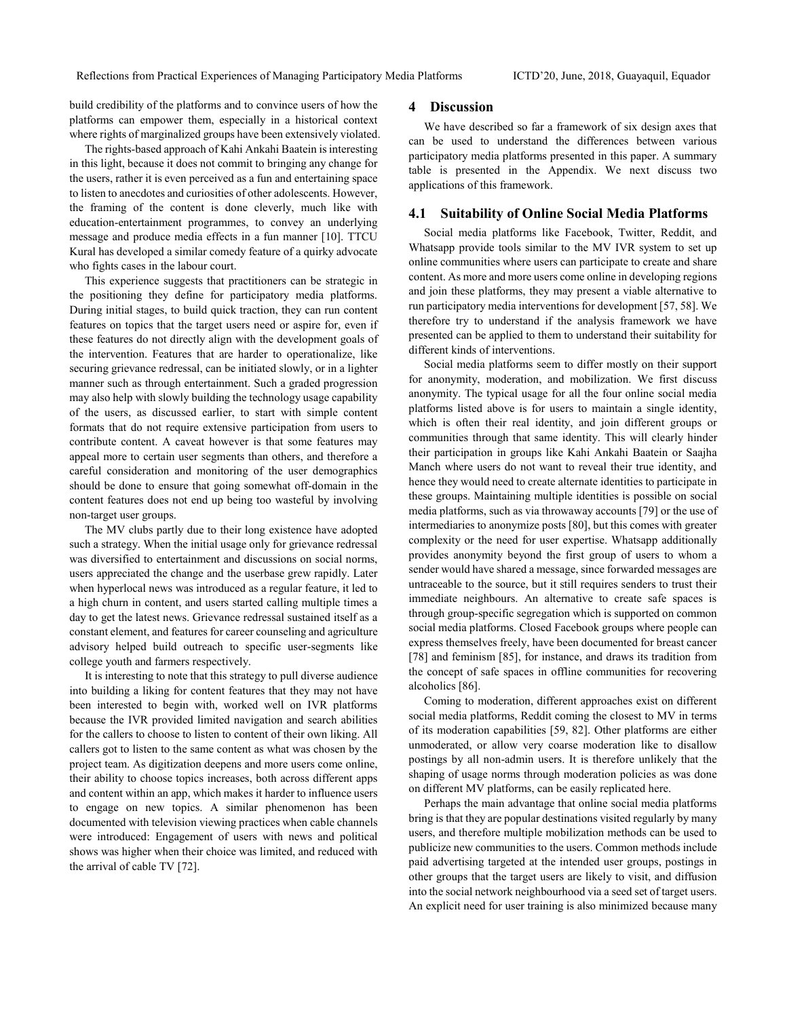build credibility of the platforms and to convince users of how the platforms can empower them, especially in a historical context where rights of marginalized groups have been extensively violated.

The rights-based approach of Kahi Ankahi Baatein is interesting in this light, because it does not commit to bringing any change for the users, rather it is even perceived as a fun and entertaining space to listen to anecdotes and curiosities of other adolescents. However, the framing of the content is done cleverly, much like with education-entertainment programmes, to convey an underlying message and produce media effects in a fun manner [10]. TTCU Kural has developed a similar comedy feature of a quirky advocate who fights cases in the labour court.

This experience suggests that practitioners can be strategic in the positioning they define for participatory media platforms. During initial stages, to build quick traction, they can run content features on topics that the target users need or aspire for, even if these features do not directly align with the development goals of the intervention. Features that are harder to operationalize, like securing grievance redressal, can be initiated slowly, or in a lighter manner such as through entertainment. Such a graded progression may also help with slowly building the technology usage capability of the users, as discussed earlier, to start with simple content formats that do not require extensive participation from users to contribute content. A caveat however is that some features may appeal more to certain user segments than others, and therefore a careful consideration and monitoring of the user demographics should be done to ensure that going somewhat off-domain in the content features does not end up being too wasteful by involving non-target user groups.

The MV clubs partly due to their long existence have adopted such a strategy. When the initial usage only for grievance redressal was diversified to entertainment and discussions on social norms, users appreciated the change and the userbase grew rapidly. Later when hyperlocal news was introduced as a regular feature, it led to a high churn in content, and users started calling multiple times a day to get the latest news. Grievance redressal sustained itself as a constant element, and features for career counseling and agriculture advisory helped build outreach to specific user-segments like college youth and farmers respectively.

It is interesting to note that this strategy to pull diverse audience into building a liking for content features that they may not have been interested to begin with, worked well on IVR platforms because the IVR provided limited navigation and search abilities for the callers to choose to listen to content of their own liking. All callers got to listen to the same content as what was chosen by the project team. As digitization deepens and more users come online, their ability to choose topics increases, both across different apps and content within an app, which makes it harder to influence users to engage on new topics. A similar phenomenon has been documented with television viewing practices when cable channels were introduced: Engagement of users with news and political shows was higher when their choice was limited, and reduced with the arrival of cable TV [72].

#### **4 Discussion**

We have described so far a framework of six design axes that can be used to understand the differences between various participatory media platforms presented in this paper. A summary table is presented in the Appendix. We next discuss two applications of this framework.

#### **4.1 Suitability of Online Social Media Platforms**

Social media platforms like Facebook, Twitter, Reddit, and Whatsapp provide tools similar to the MV IVR system to set up online communities where users can participate to create and share content. As more and more users come online in developing regions and join these platforms, they may present a viable alternative to run participatory media interventions for development [57, 58]. We therefore try to understand if the analysis framework we have presented can be applied to them to understand their suitability for different kinds of interventions.

Social media platforms seem to differ mostly on their support for anonymity, moderation, and mobilization. We first discuss anonymity. The typical usage for all the four online social media platforms listed above is for users to maintain a single identity, which is often their real identity, and join different groups or communities through that same identity. This will clearly hinder their participation in groups like Kahi Ankahi Baatein or Saajha Manch where users do not want to reveal their true identity, and hence they would need to create alternate identities to participate in these groups. Maintaining multiple identities is possible on social media platforms, such as via throwaway accounts [79] or the use of intermediaries to anonymize posts [80], but this comes with greater complexity or the need for user expertise. Whatsapp additionally provides anonymity beyond the first group of users to whom a sender would have shared a message, since forwarded messages are untraceable to the source, but it still requires senders to trust their immediate neighbours. An alternative to create safe spaces is through group-specific segregation which is supported on common social media platforms. Closed Facebook groups where people can express themselves freely, have been documented for breast cancer [78] and feminism [85], for instance, and draws its tradition from the concept of safe spaces in offline communities for recovering alcoholics [86].

Coming to moderation, different approaches exist on different social media platforms, Reddit coming the closest to MV in terms of its moderation capabilities [59, 82]. Other platforms are either unmoderated, or allow very coarse moderation like to disallow postings by all non-admin users. It is therefore unlikely that the shaping of usage norms through moderation policies as was done on different MV platforms, can be easily replicated here.

Perhaps the main advantage that online social media platforms bring is that they are popular destinations visited regularly by many users, and therefore multiple mobilization methods can be used to publicize new communities to the users. Common methods include paid advertising targeted at the intended user groups, postings in other groups that the target users are likely to visit, and diffusion into the social network neighbourhood via a seed set of target users. An explicit need for user training is also minimized because many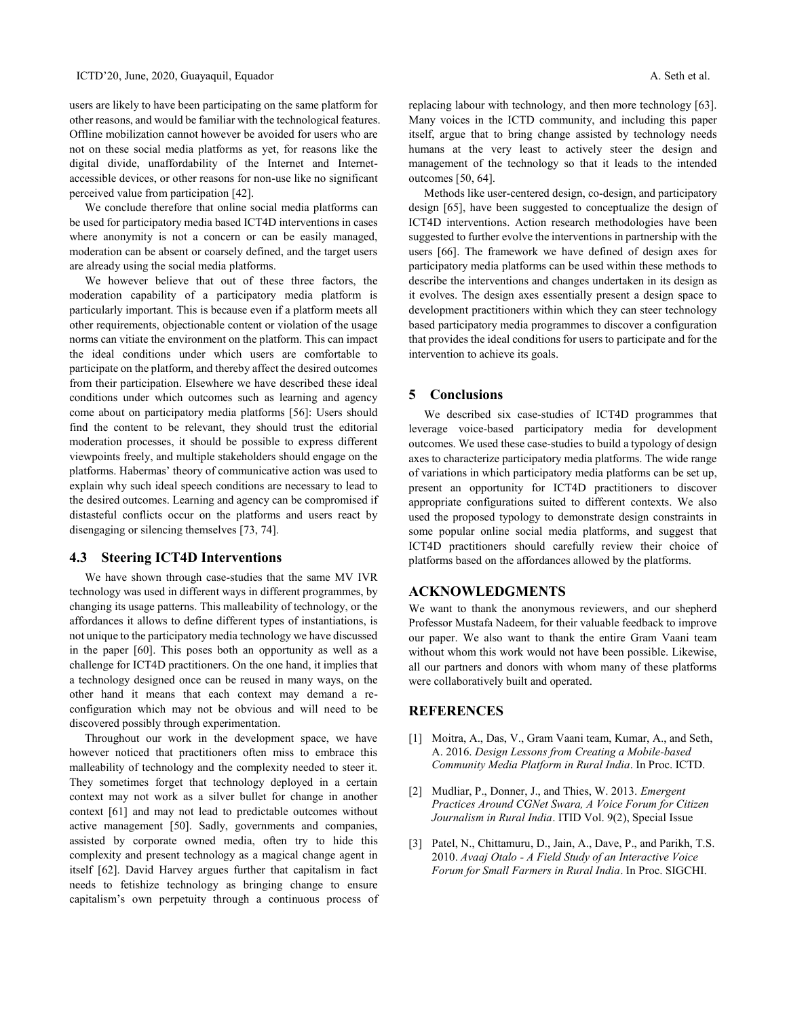users are likely to have been participating on the same platform for other reasons, and would be familiar with the technological features. Offline mobilization cannot however be avoided for users who are not on these social media platforms as yet, for reasons like the digital divide, unaffordability of the Internet and Internetaccessible devices, or other reasons for non-use like no significant perceived value from participation [42].

We conclude therefore that online social media platforms can be used for participatory media based ICT4D interventions in cases where anonymity is not a concern or can be easily managed, moderation can be absent or coarsely defined, and the target users are already using the social media platforms.

We however believe that out of these three factors, the moderation capability of a participatory media platform is particularly important. This is because even if a platform meets all other requirements, objectionable content or violation of the usage norms can vitiate the environment on the platform. This can impact the ideal conditions under which users are comfortable to participate on the platform, and thereby affect the desired outcomes from their participation. Elsewhere we have described these ideal conditions under which outcomes such as learning and agency come about on participatory media platforms [56]: Users should find the content to be relevant, they should trust the editorial moderation processes, it should be possible to express different viewpoints freely, and multiple stakeholders should engage on the platforms. Habermas' theory of communicative action was used to explain why such ideal speech conditions are necessary to lead to the desired outcomes. Learning and agency can be compromised if distasteful conflicts occur on the platforms and users react by disengaging or silencing themselves [73, 74].

## **4.3 Steering ICT4D Interventions**

We have shown through case-studies that the same MV IVR technology was used in different ways in different programmes, by changing its usage patterns. This malleability of technology, or the affordances it allows to define different types of instantiations, is not unique to the participatory media technology we have discussed in the paper [60]. This poses both an opportunity as well as a challenge for ICT4D practitioners. On the one hand, it implies that a technology designed once can be reused in many ways, on the other hand it means that each context may demand a reconfiguration which may not be obvious and will need to be discovered possibly through experimentation.

Throughout our work in the development space, we have however noticed that practitioners often miss to embrace this malleability of technology and the complexity needed to steer it. They sometimes forget that technology deployed in a certain context may not work as a silver bullet for change in another context [61] and may not lead to predictable outcomes without active management [50]. Sadly, governments and companies, assisted by corporate owned media, often try to hide this complexity and present technology as a magical change agent in itself [62]. David Harvey argues further that capitalism in fact needs to fetishize technology as bringing change to ensure capitalism's own perpetuity through a continuous process of replacing labour with technology, and then more technology [63]. Many voices in the ICTD community, and including this paper itself, argue that to bring change assisted by technology needs humans at the very least to actively steer the design and management of the technology so that it leads to the intended outcomes [50, 64].

Methods like user-centered design, co-design, and participatory design [65], have been suggested to conceptualize the design of ICT4D interventions. Action research methodologies have been suggested to further evolve the interventions in partnership with the users [66]. The framework we have defined of design axes for participatory media platforms can be used within these methods to describe the interventions and changes undertaken in its design as it evolves. The design axes essentially present a design space to development practitioners within which they can steer technology based participatory media programmes to discover a configuration that provides the ideal conditions for users to participate and for the intervention to achieve its goals.

## **5 Conclusions**

We described six case-studies of ICT4D programmes that leverage voice-based participatory media for development outcomes. We used these case-studies to build a typology of design axes to characterize participatory media platforms. The wide range of variations in which participatory media platforms can be set up, present an opportunity for ICT4D practitioners to discover appropriate configurations suited to different contexts. We also used the proposed typology to demonstrate design constraints in some popular online social media platforms, and suggest that ICT4D practitioners should carefully review their choice of platforms based on the affordances allowed by the platforms.

## **ACKNOWLEDGMENTS**

We want to thank the anonymous reviewers, and our shepherd Professor Mustafa Nadeem, for their valuable feedback to improve our paper. We also want to thank the entire Gram Vaani team without whom this work would not have been possible. Likewise, all our partners and donors with whom many of these platforms were collaboratively built and operated.

## **REFERENCES**

- [1] Moitra, A., Das, V., Gram Vaani team, Kumar, A., and Seth, A. 2016. *Design Lessons from Creating a Mobile-based Community Media Platform in Rural India*. In Proc. ICTD.
- [2] Mudliar, P., Donner, J., and Thies, W. 2013. *Emergent Practices Around CGNet Swara, A Voice Forum for Citizen Journalism in Rural India*. ITID Vol. 9(2), Special Issue
- [3] Patel, N., Chittamuru, D., Jain, A., Dave, P., and Parikh, T.S. 2010. *Avaaj Otalo - A Field Study of an Interactive Voice Forum for Small Farmers in Rural India*. In Proc. SIGCHI.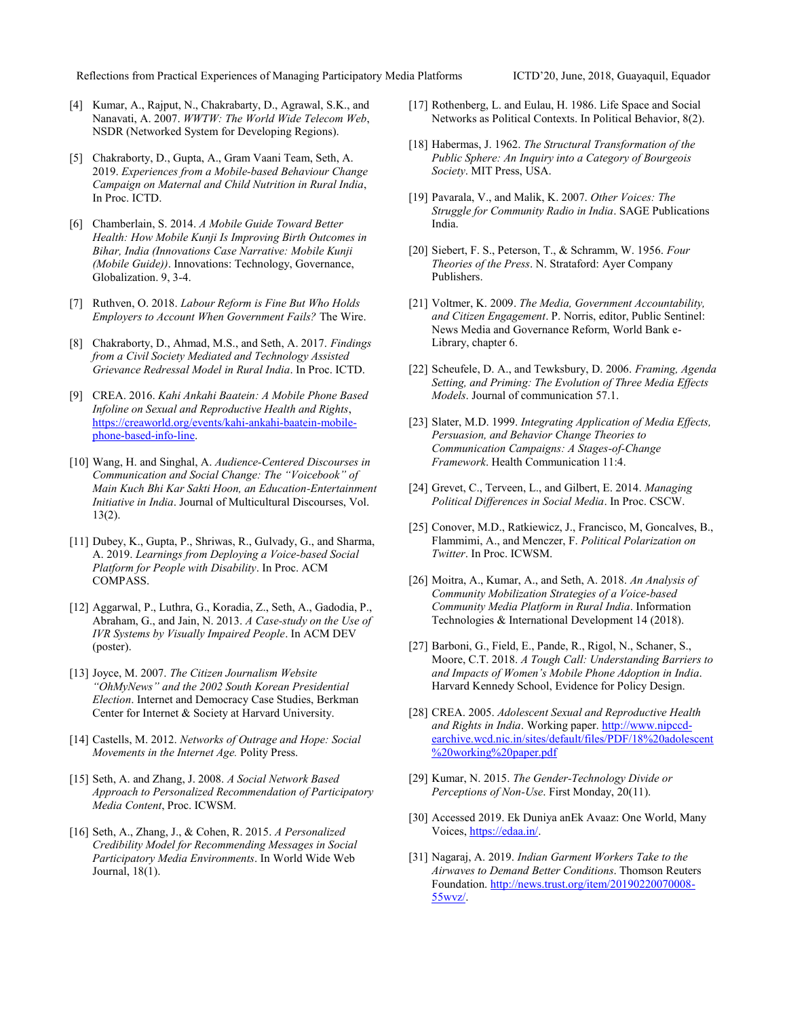Reflections from Practical Experiences of Managing Participatory Media Platforms ICTD'20, June, 2018, Guayaquil, Equador

- [4] Kumar, A., Rajput, N., Chakrabarty, D., Agrawal, S.K., and Nanavati, A. 2007. *WWTW: The World Wide Telecom Web*, NSDR (Networked System for Developing Regions).
- [5] Chakraborty, D., Gupta, A., Gram Vaani Team, Seth, A. 2019. *Experiences from a Mobile-based Behaviour Change Campaign on Maternal and Child Nutrition in Rural India*, In Proc. ICTD.
- [6] Chamberlain, S. 2014. *A Mobile Guide Toward Better Health: How Mobile Kunji Is Improving Birth Outcomes in Bihar, India (Innovations Case Narrative: Mobile Kunji (Mobile Guide))*. Innovations: Technology, Governance, Globalization. 9, 3-4.
- [7] Ruthven, O. 2018. *Labour Reform is Fine But Who Holds Employers to Account When Government Fails?* The Wire.
- [8] Chakraborty, D., Ahmad, M.S., and Seth, A. 2017. *Findings from a Civil Society Mediated and Technology Assisted Grievance Redressal Model in Rural India*. In Proc. ICTD.
- [9] CREA. 2016. *Kahi Ankahi Baatein: A Mobile Phone Based Infoline on Sexual and Reproductive Health and Rights*, [https://creaworld.org/events/kahi-ankahi-baatein-mobile](https://creaworld.org/events/kahi-ankahi-baatein-mobile-phone-based-info-line)[phone-based-info-line.](https://creaworld.org/events/kahi-ankahi-baatein-mobile-phone-based-info-line)
- [10] Wang, H. and Singhal, A. *Audience-Centered Discourses in Communication and Social Change: The "Voicebook" of Main Kuch Bhi Kar Sakti Hoon, an Education-Entertainment Initiative in India*. Journal of Multicultural Discourses, Vol. 13(2).
- [11] Dubey, K., Gupta, P., Shriwas, R., Gulvady, G., and Sharma, A. 2019. *Learnings from Deploying a Voice-based Social Platform for People with Disability*. In Proc. ACM COMPASS.
- [12] Aggarwal, P., Luthra, G., Koradia, Z., Seth, A., Gadodia, P., Abraham, G., and Jain, N. 2013. *A Case-study on the Use of IVR Systems by Visually Impaired People*. In ACM DEV (poster).
- [13] Joyce, M. 2007. *The Citizen Journalism Website "OhMyNews" and the 2002 South Korean Presidential Election*. Internet and Democracy Case Studies, Berkman Center for Internet & Society at Harvard University.
- [14] Castells, M. 2012. *Networks of Outrage and Hope: Social Movements in the Internet Age.* Polity Press.
- [15] Seth, A. and Zhang, J. 2008. *A Social Network Based Approach to Personalized Recommendation of Participatory Media Content*, Proc. ICWSM.
- [16] Seth, A., Zhang, J., & Cohen, R. 2015. *A Personalized Credibility Model for Recommending Messages in Social Participatory Media Environments*. In World Wide Web Journal, 18(1).
- [17] Rothenberg, L. and Eulau, H. 1986. Life Space and Social Networks as Political Contexts. In Political Behavior, 8(2).
- [18] Habermas, J. 1962. *The Structural Transformation of the Public Sphere: An Inquiry into a Category of Bourgeois Society*. MIT Press, USA.
- [19] Pavarala, V., and Malik, K. 2007. *Other Voices: The Struggle for Community Radio in India*. SAGE Publications India.
- [20] Siebert, F. S., Peterson, T., & Schramm, W. 1956. *Four Theories of the Press*. N. Strataford: Ayer Company Publishers.
- [21] Voltmer, K. 2009. *The Media, Government Accountability, and Citizen Engagement*. P. Norris, editor, Public Sentinel: News Media and Governance Reform, World Bank e-Library, chapter 6.
- [22] Scheufele, D. A., and Tewksbury, D. 2006. *Framing, Agenda Setting, and Priming: The Evolution of Three Media Effects Models*. Journal of communication 57.1.
- [23] Slater, M.D. 1999. *Integrating Application of Media Effects, Persuasion, and Behavior Change Theories to Communication Campaigns: A Stages-of-Change Framework*. Health Communication 11:4.
- [24] Grevet, C., Terveen, L., and Gilbert, E. 2014. *Managing Political Differences in Social Media*. In Proc. CSCW.
- [25] Conover, M.D., Ratkiewicz, J., Francisco, M, Goncalves, B., Flammimi, A., and Menczer, F. *Political Polarization on Twitter*. In Proc. ICWSM.
- [26] Moitra, A., Kumar, A., and Seth, A. 2018. *An Analysis of Community Mobilization Strategies of a Voice-based Community Media Platform in Rural India*. Information Technologies & International Development 14 (2018).
- [27] Barboni, G., Field, E., Pande, R., Rigol, N., Schaner, S., Moore, C.T. 2018. *A Tough Call: Understanding Barriers to and Impacts of Women's Mobile Phone Adoption in India*. Harvard Kennedy School, Evidence for Policy Design.
- [28] CREA. 2005. *Adolescent Sexual and Reproductive Health and Rights in India*. Working paper[. http://www.nipccd](http://www.nipccd-earchive.wcd.nic.in/sites/default/files/PDF/18%20adolescent%20working%20paper.pdf)[earchive.wcd.nic.in/sites/default/files/PDF/18%20adolescent](http://www.nipccd-earchive.wcd.nic.in/sites/default/files/PDF/18%20adolescent%20working%20paper.pdf) [%20working%20paper.pdf](http://www.nipccd-earchive.wcd.nic.in/sites/default/files/PDF/18%20adolescent%20working%20paper.pdf)
- [29] Kumar, N. 2015. *The Gender-Technology Divide or Perceptions of Non-Use*. First Monday, 20(11).
- [30] Accessed 2019. Ek Duniya anEk Avaaz: One World, Many Voices[, https://edaa.in/.](https://edaa.in/)
- [31] Nagaraj, A. 2019. *Indian Garment Workers Take to the Airwaves to Demand Better Conditions*. Thomson Reuters Foundation[. http://news.trust.org/item/20190220070008-](http://news.trust.org/item/20190220070008-55wvz/) [55wvz/.](http://news.trust.org/item/20190220070008-55wvz/)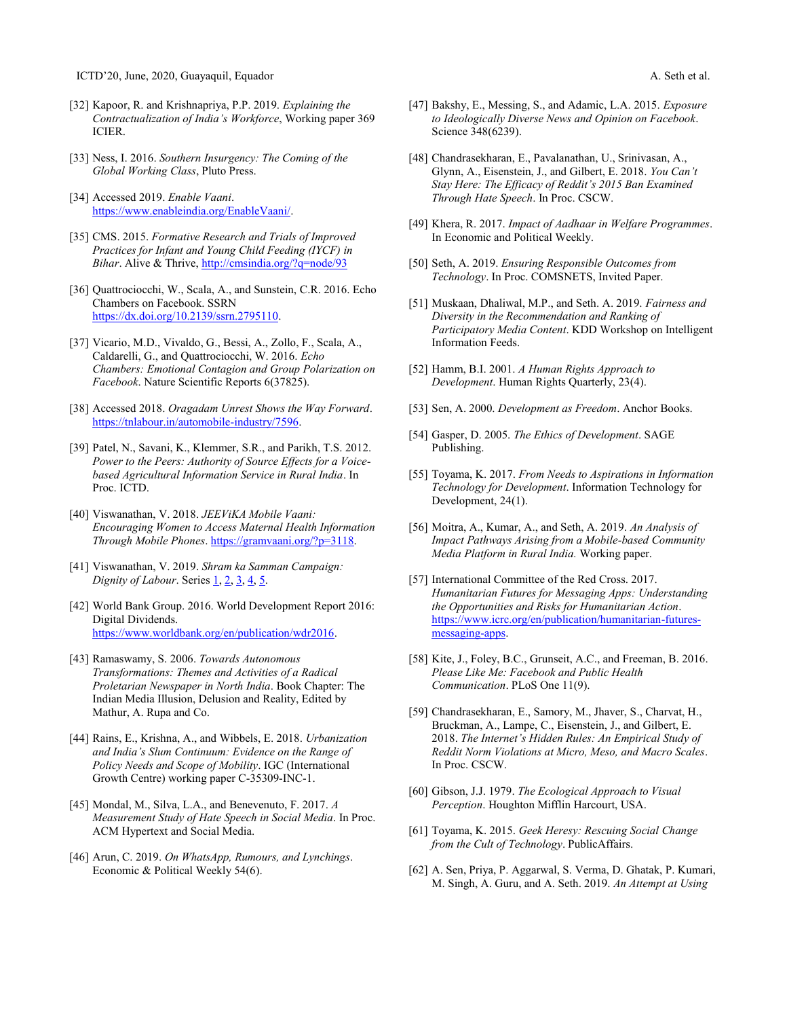- [32] Kapoor, R. and Krishnapriya, P.P. 2019. *Explaining the Contractualization of India's Workforce*, Working paper 369 ICIER.
- [33] Ness, I. 2016. *Southern Insurgency: The Coming of the Global Working Class*, Pluto Press.
- [34] Accessed 2019. *Enable Vaani*. [https://www.enableindia.org/EnableVaani/.](https://www.enableindia.org/EnableVaani/)
- [35] CMS. 2015. *Formative Research and Trials of Improved Practices for Infant and Young Child Feeding (IYCF) in Bihar*. Alive & Thrive, http://cmsindia.org/?q=node/93
- [36] Quattrociocchi, W., Scala, A., and Sunstein, C.R. 2016. Echo Chambers on Facebook. SSRN [https://dx.doi.org/10.2139/ssrn.2795110.](https://dx.doi.org/10.2139/ssrn.2795110)
- [37] Vicario, M.D., Vivaldo, G., Bessi, A., Zollo, F., Scala, A., Caldarelli, G., and Quattrociocchi, W. 2016. *Echo Chambers: Emotional Contagion and Group Polarization on Facebook*. Nature Scientific Reports 6(37825).
- [38] Accessed 2018. *Oragadam Unrest Shows the Way Forward*. [https://tnlabour.in/automobile-industry/7596.](https://tnlabour.in/automobile-industry/7596)
- [39] Patel, N., Savani, K., Klemmer, S.R., and Parikh, T.S. 2012. *Power to the Peers: Authority of Source Effects for a Voicebased Agricultural Information Service in Rural India*. In Proc. ICTD.
- [40] Viswanathan, V. 2018. *JEEViKA Mobile Vaani: Encouraging Women to Access Maternal Health Information Through Mobile Phones*. [https://gramvaani.org/?p=3118.](https://gramvaani.org/?p=3118)
- [41] Viswanathan, V. 2019. *Shram ka Samman Campaign: Dignity of Labour.* Series <u>1, [2,](https://gramvaani.org/?p=3320) [3,](https://gramvaani.org/?p=3491) [4,](https://gramvaani.org/?p=3493) 5</u>.
- [42] World Bank Group. 2016. World Development Report 2016: Digital Dividends. [https://www.worldbank.org/en/publication/wdr2016.](https://www.worldbank.org/en/publication/wdr2016)
- [43] Ramaswamy, S. 2006. *Towards Autonomous Transformations: Themes and Activities of a Radical Proletarian Newspaper in North India*. Book Chapter: The Indian Media Illusion, Delusion and Reality, Edited by Mathur, A. Rupa and Co.
- [44] Rains, E., Krishna, A., and Wibbels, E. 2018. *Urbanization and India's Slum Continuum: Evidence on the Range of Policy Needs and Scope of Mobility*. IGC (International Growth Centre) working paper C-35309-INC-1.
- [45] Mondal, M., Silva, L.A., and Benevenuto, F. 2017. *A Measurement Study of Hate Speech in Social Media*. In Proc. ACM Hypertext and Social Media.
- [46] Arun, C. 2019. *On WhatsApp, Rumours, and Lynchings*. Economic & Political Weekly 54(6).
- [47] Bakshy, E., Messing, S., and Adamic, L.A. 2015. *Exposure to Ideologically Diverse News and Opinion on Facebook*. Science 348(6239).
- [48] Chandrasekharan, E., Pavalanathan, U., Srinivasan, A., Glynn, A., Eisenstein, J., and Gilbert, E. 2018. *You Can't Stay Here: The Efficacy of Reddit's 2015 Ban Examined Through Hate Speech*. In Proc. CSCW.
- [49] Khera, R. 2017. *Impact of Aadhaar in Welfare Programmes*. In Economic and Political Weekly.
- [50] Seth, A. 2019. *Ensuring Responsible Outcomes from Technology*. In Proc. COMSNETS, Invited Paper.
- [51] Muskaan, Dhaliwal, M.P., and Seth. A. 2019. *Fairness and Diversity in the Recommendation and Ranking of Participatory Media Content*. KDD Workshop on Intelligent Information Feeds.
- [52] Hamm, B.I. 2001. *A Human Rights Approach to Development*. Human Rights Quarterly, 23(4).
- [53] Sen, A. 2000. *Development as Freedom*. Anchor Books.
- [54] Gasper, D. 2005. *The Ethics of Development*. SAGE Publishing.
- [55] Toyama, K. 2017. *From Needs to Aspirations in Information Technology for Development*. Information Technology for Development, 24(1).
- [56] Moitra, A., Kumar, A., and Seth, A. 2019. *An Analysis of Impact Pathways Arising from a Mobile-based Community Media Platform in Rural India.* Working paper.
- [57] International Committee of the Red Cross. 2017. *Humanitarian Futures for Messaging Apps: Understanding the Opportunities and Risks for Humanitarian Action*. [https://www.icrc.org/en/publication/humanitarian-futures](https://www.icrc.org/en/publication/humanitarian-futures-messaging-apps)[messaging-apps.](https://www.icrc.org/en/publication/humanitarian-futures-messaging-apps)
- [58] Kite, J., Foley, B.C., Grunseit, A.C., and Freeman, B. 2016. *Please Like Me: Facebook and Public Health Communication*. PLoS One 11(9).
- [59] Chandrasekharan, E., Samory, M., Jhaver, S., Charvat, H., Bruckman, A., Lampe, C., Eisenstein, J., and Gilbert, E. 2018. *The Internet's Hidden Rules: An Empirical Study of Reddit Norm Violations at Micro, Meso, and Macro Scales*. In Proc. CSCW.
- [60] Gibson, J.J. 1979. *The Ecological Approach to Visual Perception*. Houghton Mifflin Harcourt, USA.
- [61] Toyama, K. 2015. *Geek Heresy: Rescuing Social Change from the Cult of Technology*. PublicAffairs.
- [62] A. Sen, Priya, P. Aggarwal, S. Verma, D. Ghatak, P. Kumari, M. Singh, A. Guru, and A. Seth. 2019. *An Attempt at Using*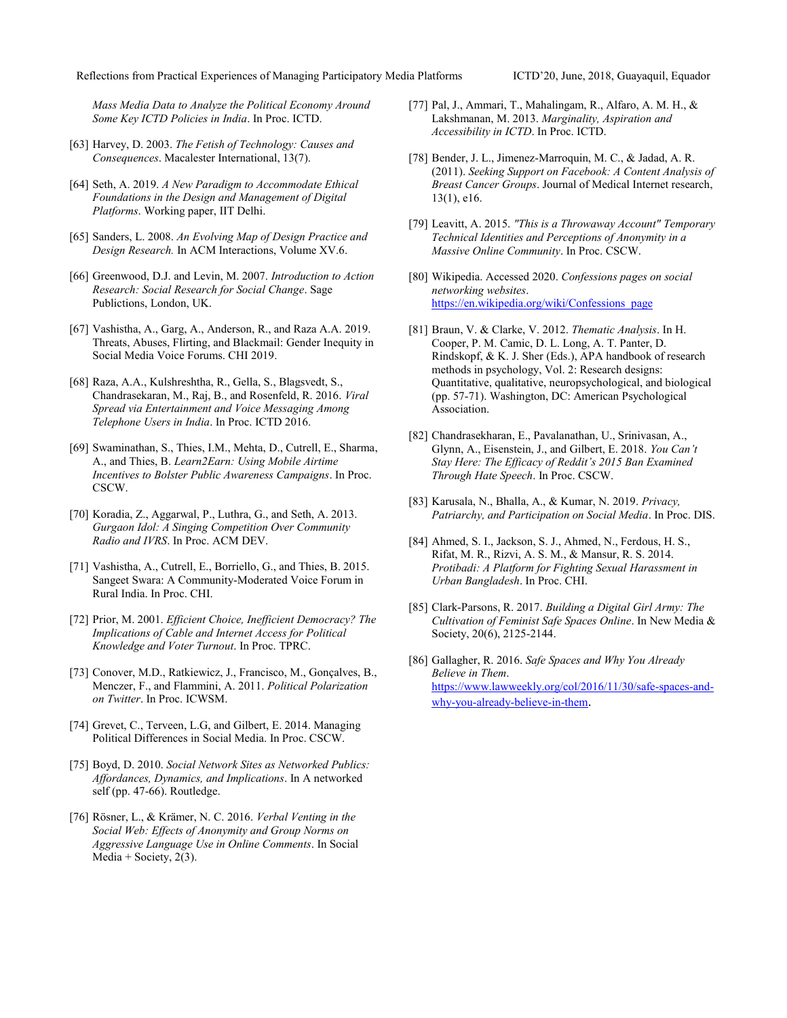Reflections from Practical Experiences of Managing Participatory Media Platforms ICTD'20, June, 2018, Guayaquil, Equador

*Mass Media Data to Analyze the Political Economy Around Some Key ICTD Policies in India*. In Proc. ICTD.

- [63] Harvey, D. 2003. *The Fetish of Technology: Causes and Consequences*. Macalester International, 13(7).
- [64] Seth, A. 2019. *A New Paradigm to Accommodate Ethical Foundations in the Design and Management of Digital Platforms*. Working paper, IIT Delhi.
- [65] Sanders, L. 2008. *An Evolving Map of Design Practice and Design Research.* In ACM Interactions, Volume XV.6.
- [66] Greenwood, D.J. and Levin, M. 2007. *Introduction to Action Research: Social Research for Social Change*. Sage Publictions, London, UK.
- [67] Vashistha, A., Garg, A., Anderson, R., and Raza A.A. 2019. Threats, Abuses, Flirting, and Blackmail: Gender Inequity in Social Media Voice Forums. CHI 2019.
- [68] Raza, A.A., Kulshreshtha, R., Gella, S., Blagsvedt, S., Chandrasekaran, M., Raj, B., and Rosenfeld, R. 2016. *Viral Spread via Entertainment and Voice Messaging Among Telephone Users in India*. In Proc. ICTD 2016.
- [69] Swaminathan, S., Thies, I.M., Mehta, D., Cutrell, E., Sharma, A., and Thies, B. *Learn2Earn: Using Mobile Airtime Incentives to Bolster Public Awareness Campaigns*. In Proc. CSCW.
- [70] Koradia, Z., Aggarwal, P., Luthra, G., and Seth, A. 2013. *Gurgaon Idol: A Singing Competition Over Community Radio and IVRS*. In Proc. ACM DEV.
- [71] Vashistha, A., Cutrell, E., Borriello, G., and Thies, B. 2015. Sangeet Swara: A Community-Moderated Voice Forum in Rural India. In Proc. CHI.
- [72] Prior, M. 2001. *Efficient Choice, Inefficient Democracy? The Implications of Cable and Internet Access for Political Knowledge and Voter Turnout*. In Proc. TPRC.
- [73] Conover, M.D., Ratkiewicz, J., Francisco, M., Gonçalves, B., Menczer, F., and Flammini, A. 2011. *Political Polarization on Twitter*. In Proc. ICWSM.
- [74] Grevet, C., Terveen, L.G, and Gilbert, E. 2014. Managing Political Differences in Social Media. In Proc. CSCW.
- [75] Boyd, D. 2010. *Social Network Sites as Networked Publics: Affordances, Dynamics, and Implications*. In A networked self (pp. 47-66). Routledge.
- [76] Rösner, L., & Krämer, N. C. 2016. *Verbal Venting in the Social Web: Effects of Anonymity and Group Norms on Aggressive Language Use in Online Comments*. In Social Media + Society,  $2(3)$ .
- [77] Pal, J., Ammari, T., Mahalingam, R., Alfaro, A. M. H., & Lakshmanan, M. 2013. *Marginality, Aspiration and Accessibility in ICTD*. In Proc. ICTD.
- [78] Bender, J. L., Jimenez-Marroquin, M. C., & Jadad, A. R. (2011). *Seeking Support on Facebook: A Content Analysis of Breast Cancer Groups*. Journal of Medical Internet research, 13(1), e16.
- [79] Leavitt, A. 2015. *"This is a Throwaway Account" Temporary Technical Identities and Perceptions of Anonymity in a Massive Online Community*. In Proc. CSCW.
- [80] Wikipedia. Accessed 2020. *Confessions pages on social networking websites*. [https://en.wikipedia.org/wiki/Confessions\\_page](https://en.wikipedia.org/wiki/Confessions_page)
- [81] Braun, V. & Clarke, V. 2012. *Thematic Analysis*. In H. Cooper, P. M. Camic, D. L. Long, A. T. Panter, D. Rindskopf, & K. J. Sher (Eds.), APA handbook of research methods in psychology, Vol. 2: Research designs: Quantitative, qualitative, neuropsychological, and biological (pp. 57-71). Washington, DC: American Psychological Association.
- [82] Chandrasekharan, E., Pavalanathan, U., Srinivasan, A., Glynn, A., Eisenstein, J., and Gilbert, E. 2018. *You Can't Stay Here: The Efficacy of Reddit's 2015 Ban Examined Through Hate Speech*. In Proc. CSCW.
- [83] Karusala, N., Bhalla, A., & Kumar, N. 2019. *Privacy, Patriarchy, and Participation on Social Media*. In Proc. DIS.
- [84] Ahmed, S. I., Jackson, S. J., Ahmed, N., Ferdous, H. S., Rifat, M. R., Rizvi, A. S. M., & Mansur, R. S. 2014. *Protibadi: A Platform for Fighting Sexual Harassment in Urban Bangladesh*. In Proc. CHI.
- [85] Clark-Parsons, R. 2017. *Building a Digital Girl Army: The Cultivation of Feminist Safe Spaces Online*. In New Media & Society, 20(6), 2125-2144.
- [86] Gallagher, R. 2016. *Safe Spaces and Why You Already Believe in Them*. [https://www.lawweekly.org/col/2016/11/30/safe-spaces-and](https://www.lawweekly.org/col/2016/11/30/safe-spaces-and-why-you-already-believe-in-them)[why-you-already-believe-in-them](https://www.lawweekly.org/col/2016/11/30/safe-spaces-and-why-you-already-believe-in-them).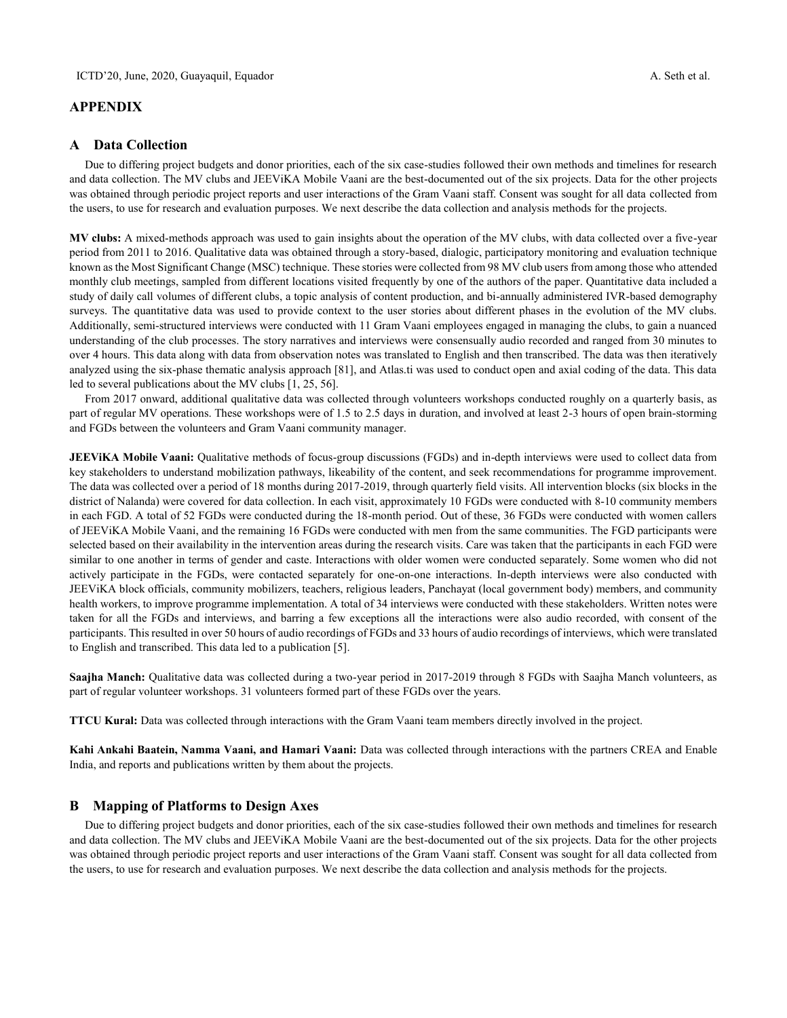## **APPENDIX**

#### **A Data Collection**

Due to differing project budgets and donor priorities, each of the six case-studies followed their own methods and timelines for research and data collection. The MV clubs and JEEViKA Mobile Vaani are the best-documented out of the six projects. Data for the other projects was obtained through periodic project reports and user interactions of the Gram Vaani staff. Consent was sought for all data collected from the users, to use for research and evaluation purposes. We next describe the data collection and analysis methods for the projects.

**MV clubs:** A mixed-methods approach was used to gain insights about the operation of the MV clubs, with data collected over a five-year period from 2011 to 2016. Qualitative data was obtained through a story-based, dialogic, participatory monitoring and evaluation technique known as the Most Significant Change (MSC) technique. These stories were collected from 98 MV club users from among those who attended monthly club meetings, sampled from different locations visited frequently by one of the authors of the paper. Quantitative data included a study of daily call volumes of different clubs, a topic analysis of content production, and bi-annually administered IVR-based demography surveys. The quantitative data was used to provide context to the user stories about different phases in the evolution of the MV clubs. Additionally, semi-structured interviews were conducted with 11 Gram Vaani employees engaged in managing the clubs, to gain a nuanced understanding of the club processes. The story narratives and interviews were consensually audio recorded and ranged from 30 minutes to over 4 hours. This data along with data from observation notes was translated to English and then transcribed. The data was then iteratively analyzed using the six-phase thematic analysis approach [81], and Atlas.ti was used to conduct open and axial coding of the data. This data led to several publications about the MV clubs [1, 25, 56].

From 2017 onward, additional qualitative data was collected through volunteers workshops conducted roughly on a quarterly basis, as part of regular MV operations. These workshops were of 1.5 to 2.5 days in duration, and involved at least 2-3 hours of open brain-storming and FGDs between the volunteers and Gram Vaani community manager.

**JEEViKA Mobile Vaani:** Qualitative methods of focus-group discussions (FGDs) and in-depth interviews were used to collect data from key stakeholders to understand mobilization pathways, likeability of the content, and seek recommendations for programme improvement. The data was collected over a period of 18 months during 2017-2019, through quarterly field visits. All intervention blocks (six blocks in the district of Nalanda) were covered for data collection. In each visit, approximately 10 FGDs were conducted with 8-10 community members in each FGD. A total of 52 FGDs were conducted during the 18-month period. Out of these, 36 FGDs were conducted with women callers of JEEViKA Mobile Vaani, and the remaining 16 FGDs were conducted with men from the same communities. The FGD participants were selected based on their availability in the intervention areas during the research visits. Care was taken that the participants in each FGD were similar to one another in terms of gender and caste. Interactions with older women were conducted separately. Some women who did not actively participate in the FGDs, were contacted separately for one-on-one interactions. In-depth interviews were also conducted with JEEViKA block officials, community mobilizers, teachers, religious leaders, Panchayat (local government body) members, and community health workers, to improve programme implementation. A total of 34 interviews were conducted with these stakeholders. Written notes were taken for all the FGDs and interviews, and barring a few exceptions all the interactions were also audio recorded, with consent of the participants. This resulted in over 50 hours of audio recordings of FGDs and 33 hours of audio recordings of interviews, which were translated to English and transcribed. This data led to a publication [5].

**Saajha Manch:** Qualitative data was collected during a two-year period in 2017-2019 through 8 FGDs with Saajha Manch volunteers, as part of regular volunteer workshops. 31 volunteers formed part of these FGDs over the years.

**TTCU Kural:** Data was collected through interactions with the Gram Vaani team members directly involved in the project.

**Kahi Ankahi Baatein, Namma Vaani, and Hamari Vaani:** Data was collected through interactions with the partners CREA and Enable India, and reports and publications written by them about the projects.

## **B Mapping of Platforms to Design Axes**

Due to differing project budgets and donor priorities, each of the six case-studies followed their own methods and timelines for research and data collection. The MV clubs and JEEViKA Mobile Vaani are the best-documented out of the six projects. Data for the other projects was obtained through periodic project reports and user interactions of the Gram Vaani staff. Consent was sought for all data collected from the users, to use for research and evaluation purposes. We next describe the data collection and analysis methods for the projects.